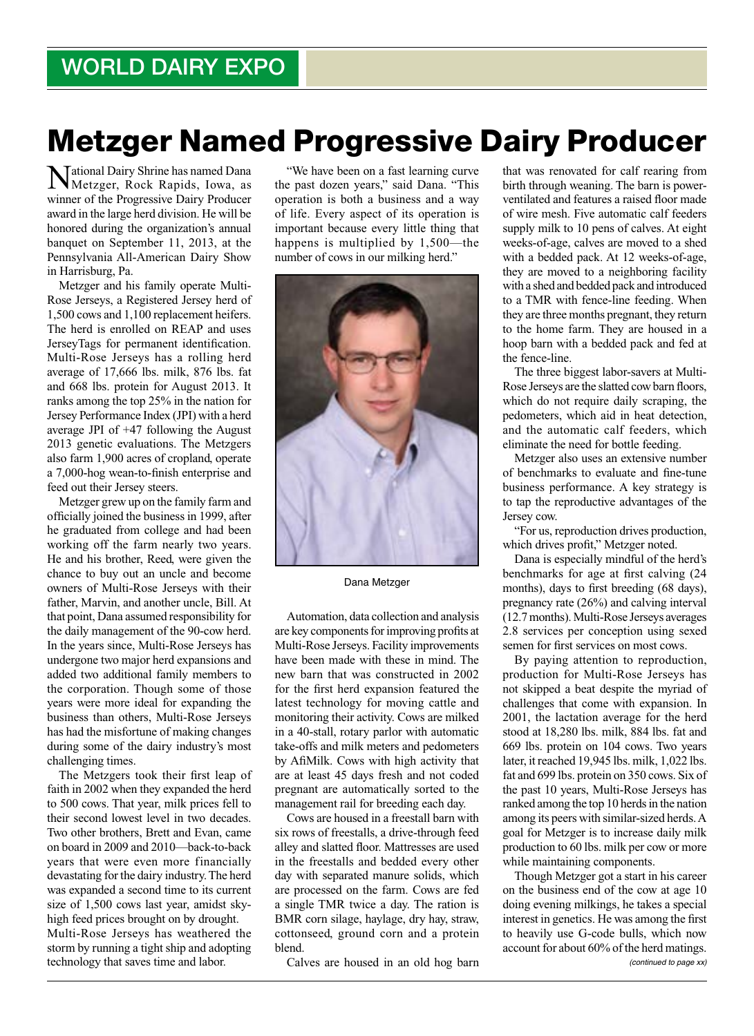## Metzger Named Progressive Dairy Producer

National Dairy Shrine has named Dana Metzger, Rock Rapids, Iowa, as winner of the Progressive Dairy Producer award in the large herd division. He will be honored during the organization's annual banquet on September 11, 2013, at the Pennsylvania All-American Dairy Show in Harrisburg, Pa.

Metzger and his family operate Multi-Rose Jerseys, a Registered Jersey herd of 1,500 cows and 1,100 replacement heifers. The herd is enrolled on REAP and uses JerseyTags for permanent identification. Multi-Rose Jerseys has a rolling herd average of 17,666 lbs. milk, 876 lbs. fat and 668 lbs. protein for August 2013. It ranks among the top 25% in the nation for Jersey Performance Index (JPI) with a herd average JPI of +47 following the August 2013 genetic evaluations. The Metzgers also farm 1,900 acres of cropland, operate a 7,000-hog wean-to-finish enterprise and feed out their Jersey steers.

Metzger grew up on the family farm and officially joined the business in 1999, after he graduated from college and had been working off the farm nearly two years. He and his brother, Reed, were given the chance to buy out an uncle and become owners of Multi-Rose Jerseys with their father, Marvin, and another uncle, Bill. At that point, Dana assumed responsibility for the daily management of the 90-cow herd. In the years since, Multi-Rose Jerseys has undergone two major herd expansions and added two additional family members to the corporation. Though some of those years were more ideal for expanding the business than others, Multi-Rose Jerseys has had the misfortune of making changes during some of the dairy industry's most challenging times.

The Metzgers took their first leap of faith in 2002 when they expanded the herd to 500 cows. That year, milk prices fell to their second lowest level in two decades. Two other brothers, Brett and Evan, came on board in 2009 and 2010—back-to-back years that were even more financially devastating for the dairy industry. The herd was expanded a second time to its current size of 1,500 cows last year, amidst skyhigh feed prices brought on by drought. Multi-Rose Jerseys has weathered the storm by running a tight ship and adopting technology that saves time and labor.

"We have been on a fast learning curve the past dozen years," said Dana. "This operation is both a business and a way of life. Every aspect of its operation is important because every little thing that happens is multiplied by 1,500—the number of cows in our milking herd."



## Dana Metzger

Automation, data collection and analysis are key components for improving profits at Multi-Rose Jerseys. Facility improvements have been made with these in mind. The new barn that was constructed in 2002 for the first herd expansion featured the latest technology for moving cattle and monitoring their activity. Cows are milked in a 40-stall, rotary parlor with automatic take-offs and milk meters and pedometers by AfiMilk. Cows with high activity that are at least 45 days fresh and not coded pregnant are automatically sorted to the management rail for breeding each day.

Cows are housed in a freestall barn with six rows of freestalls, a drive-through feed alley and slatted floor. Mattresses are used in the freestalls and bedded every other day with separated manure solids, which are processed on the farm. Cows are fed a single TMR twice a day. The ration is BMR corn silage, haylage, dry hay, straw, cottonseed, ground corn and a protein blend.

Calves are housed in an old hog barn

that was renovated for calf rearing from birth through weaning. The barn is powerventilated and features a raised floor made of wire mesh. Five automatic calf feeders supply milk to 10 pens of calves. At eight weeks-of-age, calves are moved to a shed with a bedded pack. At 12 weeks-of-age, they are moved to a neighboring facility with a shed and bedded pack and introduced to a TMR with fence-line feeding. When they are three months pregnant, they return to the home farm. They are housed in a hoop barn with a bedded pack and fed at the fence-line.

The three biggest labor-savers at Multi-Rose Jerseys are the slatted cow barn floors, which do not require daily scraping, the pedometers, which aid in heat detection, and the automatic calf feeders, which eliminate the need for bottle feeding.

Metzger also uses an extensive number of benchmarks to evaluate and fine-tune business performance. A key strategy is to tap the reproductive advantages of the Jersey cow.

"For us, reproduction drives production, which drives profit," Metzger noted.

Dana is especially mindful of the herd's benchmarks for age at first calving (24 months), days to first breeding (68 days), pregnancy rate (26%) and calving interval (12.7 months). Multi-Rose Jerseys averages 2.8 services per conception using sexed semen for first services on most cows.

By paying attention to reproduction, production for Multi-Rose Jerseys has not skipped a beat despite the myriad of challenges that come with expansion. In 2001, the lactation average for the herd stood at 18,280 lbs. milk, 884 lbs. fat and 669 lbs. protein on 104 cows. Two years later, it reached 19,945 lbs. milk, 1,022 lbs. fat and 699 lbs. protein on 350 cows. Six of the past 10 years, Multi-Rose Jerseys has ranked among the top 10 herds in the nation among its peers with similar-sized herds. A goal for Metzger is to increase daily milk production to 60 lbs. milk per cow or more while maintaining components.

Though Metzger got a start in his career on the business end of the cow at age 10 doing evening milkings, he takes a special interest in genetics. He was among the first to heavily use G-code bulls, which now account for about 60% of the herd matings. *(continued to page xx)*